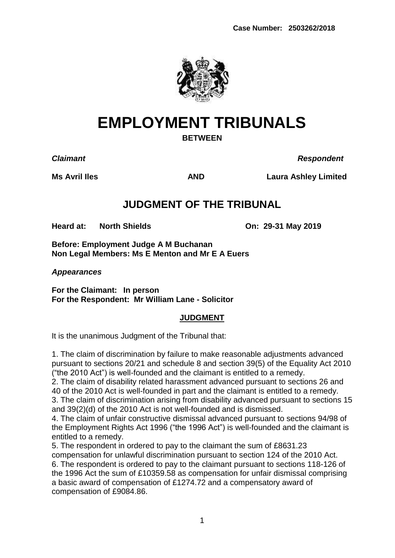

# **EMPLOYMENT TRIBUNALS**

**BETWEEN**

*Claimant Respondent*

**Ms Avril Iles AND Laura Ashley Limited**

# **JUDGMENT OF THE TRIBUNAL**

**Heard at: North Shields On: 29-31 May 2019**

**Before: Employment Judge A M Buchanan Non Legal Members: Ms E Menton and Mr E A Euers**

*Appearances*

**For the Claimant: In person For the Respondent: Mr William Lane - Solicitor**

### **JUDGMENT**

It is the unanimous Judgment of the Tribunal that:

1. The claim of discrimination by failure to make reasonable adjustments advanced pursuant to sections 20/21 and schedule 8 and section 39(5) of the Equality Act 2010 ("the 2010 Act") is well-founded and the claimant is entitled to a remedy.

2. The claim of disability related harassment advanced pursuant to sections 26 and 40 of the 2010 Act is well-founded in part and the claimant is entitled to a remedy.

3. The claim of discrimination arising from disability advanced pursuant to sections 15 and 39(2)(d) of the 2010 Act is not well-founded and is dismissed.

4. The claim of unfair constructive dismissal advanced pursuant to sections 94/98 of the Employment Rights Act 1996 ("the 1996 Act") is well-founded and the claimant is entitled to a remedy.

5. The respondent in ordered to pay to the claimant the sum of £8631.23 compensation for unlawful discrimination pursuant to section 124 of the 2010 Act. 6. The respondent is ordered to pay to the claimant pursuant to sections 118-126 of the 1996 Act the sum of £10359.58 as compensation for unfair dismissal comprising a basic award of compensation of £1274.72 and a compensatory award of compensation of £9084.86.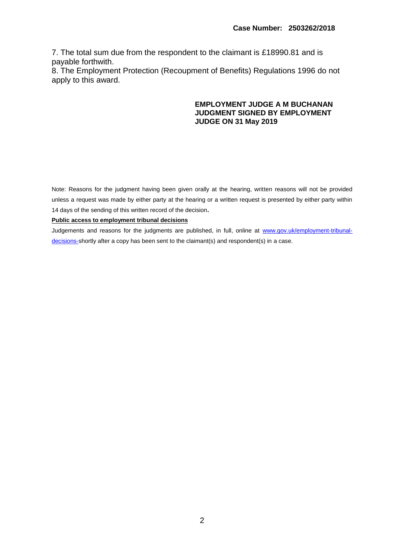7. The total sum due from the respondent to the claimant is £18990.81 and is payable forthwith.

8. The Employment Protection (Recoupment of Benefits) Regulations 1996 do not apply to this award.

#### **EMPLOYMENT JUDGE A M BUCHANAN JUDGMENT SIGNED BY EMPLOYMENT JUDGE ON 31 May 2019**

Note: Reasons for the judgment having been given orally at the hearing, written reasons will not be provided unless a request was made by either party at the hearing or a written request is presented by either party within 14 days of the sending of this written record of the decision**.**

#### **Public access to employment tribunal decisions**

Judgements and reasons for the judgments are published, in full, online at [www.gov.uk/employment-tribunal](http://www.gov.uk/employment-tribunal-decisions-)[decisions-s](http://www.gov.uk/employment-tribunal-decisions-)hortly after a copy has been sent to the claimant(s) and respondent(s) in a case.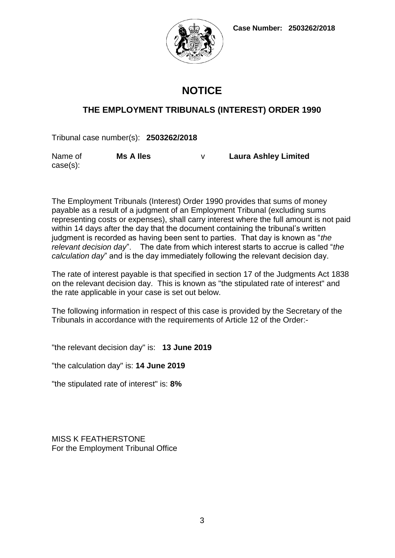**Case Number: 2503262/2018**



# **NOTICE**

### **THE EMPLOYMENT TRIBUNALS (INTEREST) ORDER 1990**

Tribunal case number(s): **2503262/2018**

Name of case(s): **Ms A Iles** v **Laura Ashley Limited**

The Employment Tribunals (Interest) Order 1990 provides that sums of money payable as a result of a judgment of an Employment Tribunal (excluding sums representing costs or expenses), shall carry interest where the full amount is not paid within 14 days after the day that the document containing the tribunal's written judgment is recorded as having been sent to parties. That day is known as "*the relevant decision day*". The date from which interest starts to accrue is called "*the calculation day*" and is the day immediately following the relevant decision day.

The rate of interest payable is that specified in section 17 of the Judgments Act 1838 on the relevant decision day. This is known as "the stipulated rate of interest" and the rate applicable in your case is set out below.

The following information in respect of this case is provided by the Secretary of the Tribunals in accordance with the requirements of Article 12 of the Order:-

"the relevant decision day" is: **13 June 2019**

"the calculation day" is: **14 June 2019**

"the stipulated rate of interest" is: **8%**

MISS K FEATHERSTONE For the Employment Tribunal Office